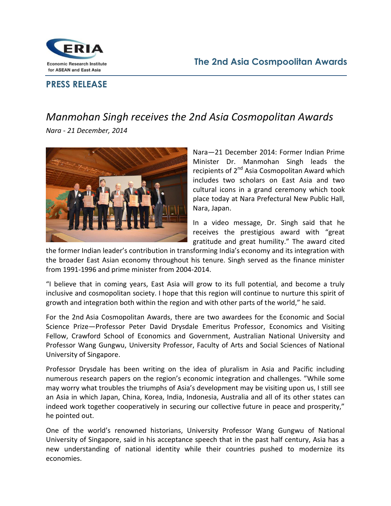

## **PRESS RELEASE**

## Manmohan Singh receives the 2nd Asia Cosmopolitan Awards Nara - 21 December, 2014



Nara-21 December 2014: Former Indian Prime Minister Dr. Manmohan Singh leads the recipients of 2<sup>nd</sup> Asia Cosmopolitan Award which includes two scholars on East Asia and two cultural icons in a grand ceremony which took place today at Nara Prefectural New Public Hall, Nara, Japan.

In a video message, Dr. Singh said that he receives the prestigious award with "great gratitude and great humility." The award cited

the former Indian leader's contribution in transforming India's economy and its integration with the broader East Asian economy throughout his tenure. Singh served as the finance minister from 1991-1996 and prime minister from 2004-2014.

"I believe that in coming years, East Asia will grow to its full potential, and become a truly inclusive and cosmopolitan society. I hope that this region will continue to nurture this spirit of growth and integration both within the region and with other parts of the world," he said.

For the 2nd Asia Cosmopolitan Awards, there are two awardees for the Economic and Social Science Prize-Professor Peter David Drysdale Emeritus Professor, Economics and Visiting Fellow, Crawford School of Economics and Government, Australian National University and Professor Wang Gungwu, University Professor, Faculty of Arts and Social Sciences of National University of Singapore.

Professor Drysdale has been writing on the idea of pluralism in Asia and Pacific including numerous research papers on the region's economic integration and challenges. "While some may worry what troubles the triumphs of Asia's development may be visiting upon us, I still see an Asia in which Japan, China, Korea, India, Indonesia, Australia and all of its other states can indeed work together cooperatively in securing our collective future in peace and prosperity," he pointed out.

One of the world's renowned historians, University Professor Wang Gungwu of National University of Singapore, said in his acceptance speech that in the past half century, Asia has a new understanding of national identity while their countries pushed to modernize its economies.